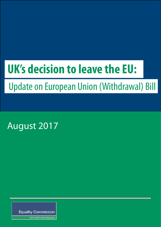# **UK's decision to leave the EU:**

## Update on European Union (Withdrawal) Bill

August 2017

**Equality Commission** 

FOR NORTHERN IRELAND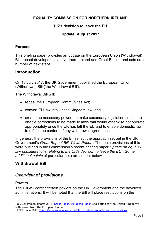#### **EQUALITY COMMISSION FOR NORTHERN IRELAND**

#### **UK's decision to leave the EU**

#### **Update: August 2017**

#### **Purpose**

This briefing paper provides an update on the European Union (Withdrawal) Bill, recent developments in Northern Ireland and Great Britain; and sets out a number of next steps.

#### **Introduction**

On 13 July 2017, the UK Government published the European Union (Withdrawal) Bill ('the Withdrawal Bill').

The Withdrawal Bill will:

- repeal the European Communities Act;
- convert EU law into United Kingdom law; and
- create the necessary powers to make secondary legislation so as to enable corrections to be made to laws that would otherwise not operate appropriately once the UK has left the EU and to enable domestic law to reflect the content of any withdrawal agreement.

In general, the provisions of the Bill reflect the approach set out in the UK' Government's *Great Repeal Bill: White Paper*<sup>1</sup> . The main provisions of this were outlined in the Commission's recent briefing paper *Update on equality*  law considerations relating to the UK's decision to leave the EU<sup>2</sup>. Some *additional points* of particular note are set out below.

#### **Withdrawal Bill**

### *Overview of provisions*

#### Powers

The Bill will confer certain powers on the UK Government and the devolved administrations. It will be noted that the Bill will place restrictions on the

<sup>-</sup><sup>1</sup> UK Government (March 2017) *[Great Repeal Bill: White Paper](https://www.gov.uk/government/publications/the-great-repeal-bill-white-paper)*: Legislating for the United Kingdom's withdrawal from the European Union.

<sup>2</sup> ECNI, June 2017, [The UK's decision to leave the EU: Update on equality law considerations,](http://www.equalityni.org/ECNI/media/ECNI/Publications/Delivering%20Equality/UpdateEqualityLawConsiderationsJune17.pdf)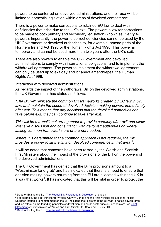powers to be conferred on devolved administrations, and their use will be limited to domestic legislation within areas of devolved competence.

There is a power to make corrections to retained EU law to deal with deficiencies that arise due to the UK's exit. The powers allow for corrections to be made to both primary and secondary legislation (known as '*Henry VIII*' powers). Importantly, the power to correct deficiencies cannot be used by the UK Government or devolved authorities to, for example, amend parts of the Northern Ireland Act 1998 or the Human Rights Act 1998. This power is temporary and cannot be used more than two years after the UK's exit.

There are also powers to enable the UK Government and devolved administrations to comply with international obligations, and to implement the withdrawal agreement. The power to implement the withdrawal agreement can only be used up to exit day and it cannot amend/repeal the Human Rights Act 1998.

#### Interaction with devolved administrations

As regards the impact of the Withdrawal Bill on the devolved administrations, the UK Government has stated as follows:

*"The Bill will replicate the common UK frameworks created by EU law in UK law, and maintain the scope of devolved decision making powers immediately after exit. This means that any decisions that the devolved authorities can take before exit, they can continue to take after exit.*

*This will be a transitional arrangement to provide certainty after exit and allow intensive discussion and consultation with devolved authorities on where lasting common frameworks are or are not needed.*

*Where it is determined that a common approach is not required, the Bill provides a power to lift the limit on devolved competence in that area" 3 .*

It will be noted that concerns have been raised by the Welsh and Scottish First Ministers about the impact of the provisions of the Bill on the powers of the devolved administrations<sup>4</sup>.

The UK Government has denied that the Bill's provisions amount to a 'Westminster land grab' and has indicated that there is a need to ensure that decision making powers returning from the EU are allocated within the UK in a way that works<sup>5</sup>. It has indicated that this will be vital in order to protect the

<sup>4</sup> For example, the First Minister for Wales, Carwyn Jones and the First Minister for Scotland, Nicola Sturgeon issued a joint-statement on the Bill indicating their belief that the Bill was 'a naked powers grab' and 'an attack on the founding principles of devolution and could destabilise our economies' See Joint [Statement](file://///equality.local/root/Data1/PUBLIC%20POLICY/Projects/Legislative%20Reform/EUExit/2017-Aug_Commission/To%20put%20it%20simply,%20in%20reserved%20areas%20that%20are%20currently%20subject%20to%20EU%20law,%20the%20UK%20parliament%20regains%20the%20ability%20to%20legislate%20without%20restriction.%20In%20devolved%20areas,%20the%20Scottish%20Parliament%20does%20not%20-%20it%20will%20only%20be%20able%20to%20do%20so%20in%20future%20if%20the%20UK%20govern) of First Minister for Wales and First Minister for Scotland 13 July 2017

<sup>5</sup> Dept for Exiting the EU: [The Repeal Bill: Factsheet 5: Devolution](https://www.gov.uk/government/uploads/system/uploads/attachment_data/file/627993/Devolution_factsheet.pdf)

<sup>-</sup><sup>3</sup> Dept for Exiting the EU: [The Repeal Bill: Factsheet 5: Devolution](https://www.gov.uk/government/uploads/system/uploads/attachment_data/file/627993/Devolution_factsheet.pdf) at page 1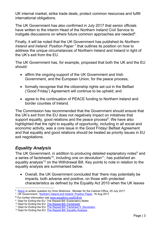UK internal market, strike trade deals, protect common resources and fulfill international obligations.

The UK Government has also confirmed in July 2017 that senior officials have written to the interim Head of the Northern Ireland Civil Service to instigate discussions on where future common approaches are needed $^6$ .

Finally, it will be noted that the UK Government has published its *Northern Ireland and Ireland: Position Paper*<sup>7</sup> that outlines its position on how to address the unique circumstances of Northern Ireland and Ireland in light of the UK's exit from the EU.

The UK Government has, for example, proposed that both the UK and the EU should:

- affirm the ongoing support of the UK Government and Irish Government, and the European Union, for the peace process;
- formally recognise that the citizenship rights set out in the Belfast ('Good Friday') Agreement will continue to be upheld; and
- agree to the continuation of PEACE funding to Northern Ireland and border counties of Ireland.

The Commission has recommended that the Government should ensure that the UK's exit from the EU does not negatively impact on initiatives that support equality, good relations and the peace process<sup>8</sup>. We have also highlighted that the right to equality of opportunity, including in all social and economic activity, was a core issue in the Good Friday/ Belfast Agreement and that equality and good relations should be treated as priority issues in EU exit negotiations.

## *Equality Analysis*

The UK Government, in addition to producing detailed explanatory notes<sup>9</sup> and a series of factsheets<sup>10</sup>, including one on devolution<sup>11</sup>, has published an equality analysis<sup>12</sup> on the Withdrawal Bill. Key points to note in relation to the equality analysis are summarised below.

 Overall, the UK Government concluded that 'there may potentially be impacts, both adverse and positive, on those with protected characteristics as defined by the Equality Act 2010 when the UK leaves

 6 [Reply](http://www.parliament.uk/business/publications/written-questions-answers-statements/written-question/Commons/2017-07-17/5207/) to written question by Chris Skidmore , Minister for the Cabinet Office, 25 July 2017

<sup>&</sup>lt;sup>7</sup> UK Government: [Northern Ireland and Ireland: Position Paper,](https://www.gov.uk/government/uploads/system/uploads/attachment_data/file/638135/6.3703_DEXEU_Northern_Ireland_and_Ireland_INTERACTIVE.pdf) 16 Aug 2017

<sup>8</sup> For further information see [www.equalityni.org/EUExit.](http://www.equalityni.org/EUExit)

 $^{\rm 9}$  Dept for Exiting the EU: The Repeal Bill: Explanatory Notes

<sup>&</sup>lt;sup>10</sup> Dept for Exiting the EU: [The Repeal Bill: Factsheets](https://www.gov.uk/government/publications/information-about-the-repeal-bill)

<sup>&</sup>lt;sup>11</sup> Dept for Exiting the EU: [The Repeal Bill: Factsheet 5: Devolution](https://www.gov.uk/government/uploads/system/uploads/attachment_data/file/627993/Devolution_factsheet.pdf)

<sup>&</sup>lt;sup>12</sup> Dept for Exiting the EU: [The Repeal Bill: Equality Analysis](https://www.gov.uk/government/uploads/system/uploads/attachment_data/file/629244/European_Union__Withdrawal__Bill_equality_analysis.pdf)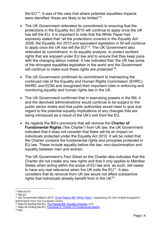the EU' 13 . It was of the view that where potential equalities impacts were identified 'these are likely to be limited' $^\mathsf{14}.$ 

- The UK Government reiterated its commitment to ensuring that the protections in the Equality Act 2010 will continue to apply once the UK has left the EU. It is important to note that the *White Paper* had expressly stated that "*all the protections covered in the Equality Act 2006, the Equality Act 2010 and equivalent legislation in NI will continue to apply once the UK has left the EU*" 15 . The UK Government also reiterated its commitment, in its equality analysis, to protect workers' rights that are enjoyed under EU law and to ensure that they keep pace with the changing labour market. It has indicated that 'the UK has some of the strongest equalities legislation in the world and the Government will continue to make sure these rights are protected' $^\mathrm{16}$ .
- The UK Government confirmed its commitment to maintaining the continued role of the Equality and Human Rights Commission (EHRC), NIHRC and ECNI and recognised their important roles in enforcing and monitoring equality and human rights law in the UK.
- The UK Government confirmed that in exercising powers in the Bill, it and the devolved administrations would continue to be subject to the public sector duties and that public authorities would need to give due regard to the potential equality implications of any changes that are being introduced as a result of the UK's exit from the EU.
- As regards the Bill's provisions that will remove the **Charter of Fundamental Rights** ('the Charter') from UK law, the UK Government indicated that it does not consider that there will be an impact on individuals protected under the Equality Act 2010. It will be noted that the Charter contains the fundamental rights and principles protected in EU law. These include equality before the law, non-discrimination and equality between men and women.

The UK Government's *Fact Sheet* on the Charter also indicates that the Charter did not create any new rights and that it only applies to Member States when acting within the scope of EU law and, as such, will cease to have any real relevance when the UK exits the  $EU^{17}$ . It also considers that its removal from UK law would not affect substantive rights that individuals already benefit from in the UK $^{18}$ .

-

 $13$  Ibid at p13

<sup>14</sup> Ibid p3

<sup>15</sup> UK Government (March 2017) *[Great Repeal Bill: White Paper](https://www.gov.uk/government/publications/the-great-repeal-bill-white-paper)*: Legislating for the United Kingdom's withdrawal from the European Union.

<sup>&</sup>lt;sup>16</sup> Dept for Exiting the EU: [The Repeal Bill: Equality Analysis,](https://www.gov.uk/government/uploads/system/uploads/attachment_data/file/629244/European_Union__Withdrawal__Bill_equality_analysis.pdf) p13

<sup>17</sup> Dept for Exiting the EU: *[Factsheet 6: Charter of Fundamental Rights](https://www.gov.uk/government/uploads/system/uploads/attachment_data/file/627995/Charter_of_Fundamental_Rights.pdf)*

<sup>18</sup> Ibid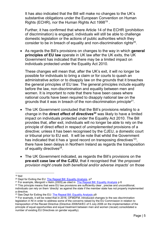It has also indicated that the Bill will make no changes to the UK's substantive obligations under the European Convention on Human Rights (ECHR), nor the Human Rights Act 1998 $^{19}$  .

Further, it has confirmed that where Article 14 of the ECHR (prohibition of discrimination) is engaged, individuals will still be able to challenge domestic legislation or the actions of public authorities which they consider to be in breach of equality and non-discrimination rights $^{20}$ .

 As regards the Bill's provisions on changes to the way in which **general principles of EU law** operate in UK law after the UK exits, the UK Government has indicated that there may be a limited impact on individuals protected under the Equality Act 2010.

These changes will mean that, after the UK's exit, it will no longer be possible for individuals to bring a claim or for courts to quash an administrative action or to disapply law on the grounds that it breaches the general principles of EU law. The general principles include equality before the law, non-discrimination and equality between men and women. It is important to note that there have been cases where national courts have been required to disapply national law on the grounds that it was in breach of the non-discrimination principle $^{21}$ .

- The UK Government concluded that the Bill's provisions relating to a change in the **direct effect of directives<sup>22</sup>** was likely to have a limited impact on individuals protected under the Equality Act 2010. The Bill provides that, after exit, individuals will no longer be able to rely on the principle of direct effect in respect of *unimplemented* provisions of a directive; unless it has been recognised by the CJEU, a domestic court or tribunal prior to EU exit. It will be note that whilst the Government has indicated that it has a 'good record on transposing directives'<sup>23</sup>, there have been delays in Northern Ireland as regards the transposition of equality directives $^{24}$ .
- The UK Government indicated, as regards the Bill's provisions on the **pre-exit case law of the CJEU**, that it recognised that '*the proposed provision might create both beneficial and/or adverse impacts*' on those

<sup>-</sup><sup>19</sup> Ibid

<sup>&</sup>lt;sup>20</sup> Dept for Exiting the EU: [The Repeal Bill: Equality Analysis,](https://www.gov.uk/government/uploads/system/uploads/attachment_data/file/629244/European_Union__Withdrawal__Bill_equality_analysis.pdf) p7

<sup>21</sup> For example, *Mangold v Helm (2005)*,as cited in [The Repeal Bill: Equality Analysis](https://www.gov.uk/government/uploads/system/uploads/attachment_data/file/629244/European_Union__Withdrawal__Bill_equality_analysis.pdf) p 6

<sup>&</sup>lt;sup>22</sup> This principle means that were EU law provisions are sufficiently clear, precise and unconditional, individuals can rely on them 'directly' as against the state if the member state has not properly implemented a directive.

<sup>&</sup>lt;sup>23</sup> See Dept for Exiting the EU: **The Repeal Bill: Equality Analysis p9** 

<sup>&</sup>lt;sup>24</sup> For example, it will be noted that in 2016, OFMDFM, introduced changes to the sex discrimination legislation in NI in order to address some of the concerns raised by the EU Commission in relation to transposition of the Recast Directive (Directive 2006/54/EC of 5 July 2006 on the implementation of the principle of equal opportunities and equal treatment between men and women (recast) consolidated a number of existing EU Directives on gender equality).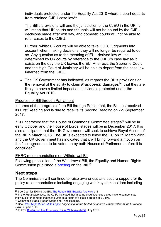individuals protected under the Equality Act 2010 where a court departs from retained CJEU case law $^{25}$ .

The Bill's provisions will end the jurisdiction of the CJEU in the UK. It will mean that UK courts and tribunals will not be bound by the CJEU decisions made after exit day, and domestic courts will not be able to refer cases to the CJEU.

Further, whilst UK courts will be able to take CJEU judgments into account when making decisions, they will no longer be required to do so. Any question as to the meaning of EU –derived law will be determined by UK courts by reference to the CJEU's case law as it exists on the day the UK leaves the EU. After exit, the Supreme Court and the High Court of Justiciary will be able to depart from the case law inherited from the CJEU.

 The UK Government has indicated, as regards the Bill's provisions on the removal of the ability to claim *Francovich* **damages**<sup>26</sup> , that they are likely to have a limited impact on individuals protected under the Equality Act 2010.

#### Progress of Bill through Parliament

In terms of the progress of the Bill through Parliament, the Bill has received its First Reading and is due to receive its Second Reading on 7-9 September 2017.

It is understood that the House of Commons' Committee stages<sup>27</sup> will be in early October and the House of Lords' stages will be in December 2017. It is also anticipated that the UK Government will seek to achieve Royal Assent of the Bill in March 2018. The UK is expected to leave the EU on 29 March 2019 and the UK Government has indicated that it will bring forward a motion on the final agreement to be voted on by both Houses of Parliament before it is concluded<sup>28</sup>.

#### EHRC recommendations on Withdrawal Bill

Following publication of the Withdrawal Bill, the Equality and Human Rights Commission published a **briefing** on the Bill.<sup>29</sup>

### **Next steps**

The Commission will continue to raise awareness and secure support for its policy recommendations including engaging with key stakeholders including

<sup>27</sup> Committee Stage, Report Stage and Third Reading.

<sup>-</sup><sup>25</sup> See Dept for Exiting the EU: **The Repeal Bill: Equality Analysis p12** 

<sup>26</sup> In the *Francovich* case, the CJEU indicated that in some circumstances states have to compensate individuals for damage that they suffer as a result of a state's breach of EU law.

<sup>28</sup> See *[Great Repeal Bill: White Paper:](https://www.gov.uk/government/publications/the-great-repeal-bill-white-paper) Legislating for the United Kingdom's withdrawal from the European Union* at para 1.18

<sup>&</sup>lt;sup>29</sup> EHRC, [Briefing on The European Union \(Withdrawal\) Bill,](https://www.equalityhumanrights.com/sites/default/files/european-union-withdrawal-bill-briefing-july-2017.docx) July 2017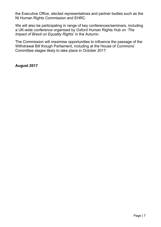the Executive Office, elected representatives and partner bodies such as the NI Human Rights Commission and EHRC.

We will also be participating in range of key conferences/seminars, including a UK-wide conference organised by Oxford Human Rights Hub on *'The Impact of Brexit on Equality Rights*' in the Autumn.

The Commission will maximise opportunities to influence the passage of the Withdrawal Bill though Parliament, including at the House of Commons' Committee stages likely to take place in October 2017.

**August 2017**